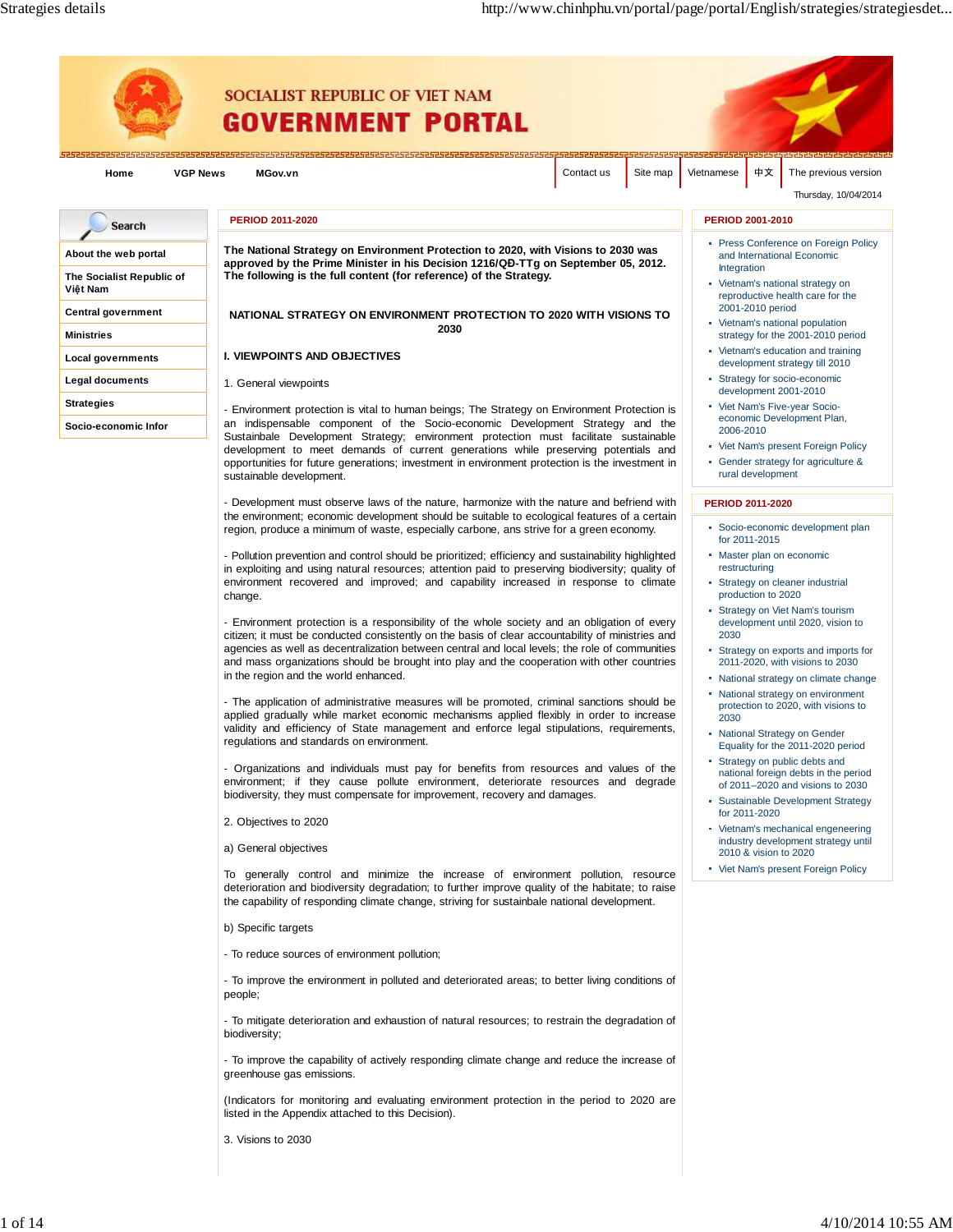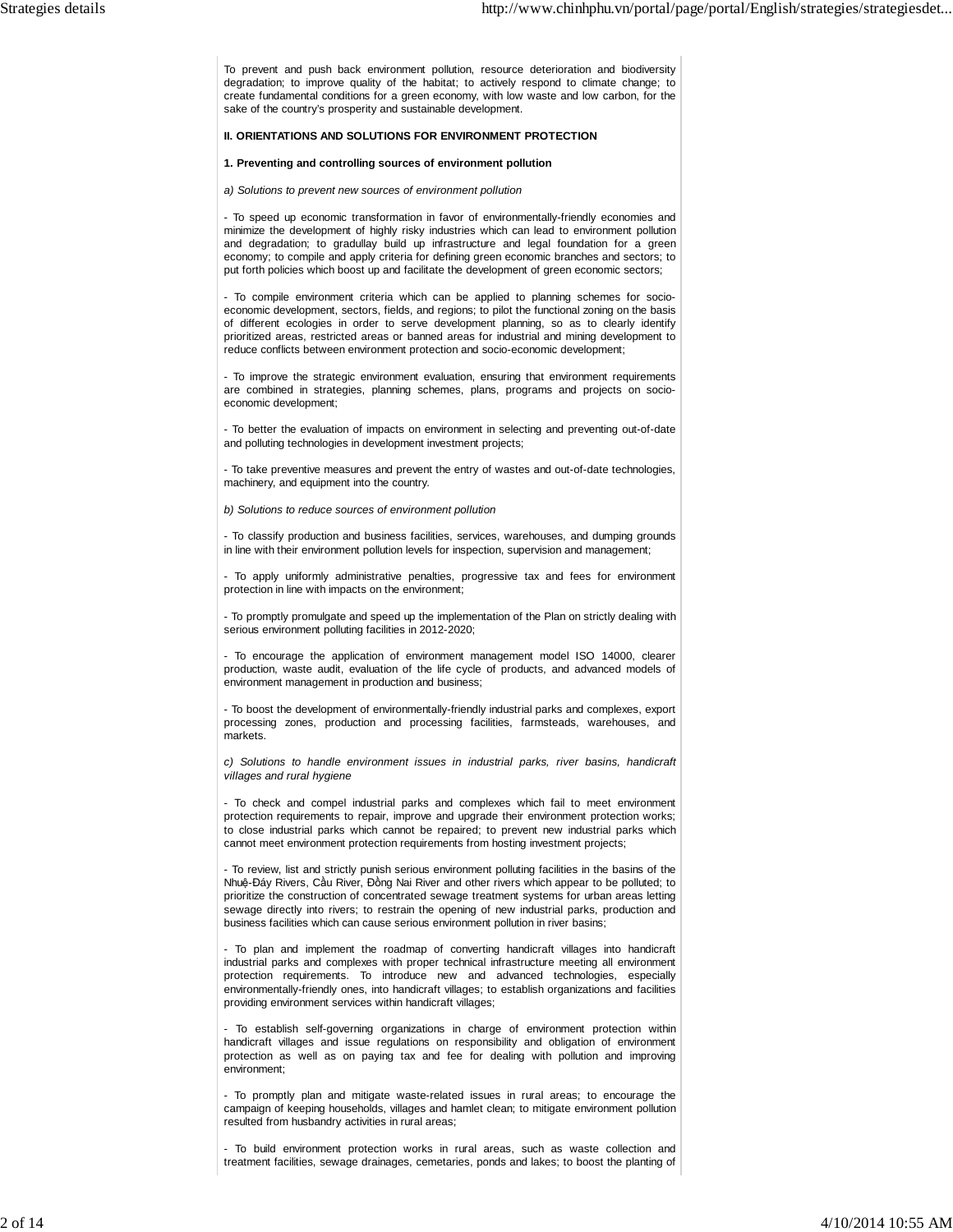To prevent and push back environment pollution, resource deterioration and biodiversity degradation; to improve quality of the habitat; to actively respond to climate change; to create fundamental conditions for a green economy, with low waste and low carbon, for the sake of the country's prosperity and sustainable development.

# **II. ORIENTATIONS AND SOLUTIONS FOR ENVIRONMENT PROTECTION**

## **1. Preventing and controlling sources of environment pollution**

a) Solutions to prevent new sources of environment pollution

- To speed up economic transformation in favor of environmentally-friendly economies and minimize the development of highly risky industries which can lead to environment pollution and degradation; to gradullay build up infrastructure and legal foundation for a green economy; to compile and apply criteria for defining green economic branches and sectors; to put forth policies which boost up and facilitate the development of green economic sectors;

- To compile environment criteria which can be applied to planning schemes for socioeconomic development, sectors, fields, and regions; to pilot the functional zoning on the basis of different ecologies in order to serve development planning, so as to clearly identify prioritized areas, restricted areas or banned areas for industrial and mining development to reduce conflicts between environment protection and socio-economic development;

- To improve the strategic environment evaluation, ensuring that environment requirements are combined in strategies, planning schemes, plans, programs and projects on socioeconomic development;

- To better the evaluation of impacts on environment in selecting and preventing out-of-date and polluting technologies in development investment projects;

- To take preventive measures and prevent the entry of wastes and out-of-date technologies, machinery, and equipment into the country.

b) Solutions to reduce sources of environment pollution

- To classify production and business facilities, services, warehouses, and dumping grounds in line with their environment pollution levels for inspection, supervision and management;

- To apply uniformly administrative penalties, progressive tax and fees for environment protection in line with impacts on the environment;

- To promptly promulgate and speed up the implementation of the Plan on strictly dealing with serious environment polluting facilities in 2012-2020;

- To encourage the application of environment management model ISO 14000, clearer production, waste audit, evaluation of the life cycle of products, and advanced models of environment management in production and business;

- To boost the development of environmentally-friendly industrial parks and complexes, export processing zones, production and processing facilities, farmsteads, warehouses, and markets.

c) Solutions to handle environment issues in industrial parks, river basins, handicraft villages and rural hygiene

- To check and compel industrial parks and complexes which fail to meet environment protection requirements to repair, improve and upgrade their environment protection works; to close industrial parks which cannot be repaired; to prevent new industrial parks which cannot meet environment protection requirements from hosting investment projects;

- To review, list and strictly punish serious environment polluting facilities in the basins of the Nhuệ-Đáy Rivers, Cầu River, Đồng Nai River and other rivers which appear to be polluted; to prioritize the construction of concentrated sewage treatment systems for urban areas letting sewage directly into rivers; to restrain the opening of new industrial parks, production and business facilities which can cause serious environment pollution in river basins;

- To plan and implement the roadmap of converting handicraft villages into handicraft industrial parks and complexes with proper technical infrastructure meeting all environment protection requirements. To introduce new and advanced technologies, especially environmentally-friendly ones, into handicraft villages; to establish organizations and facilities providing environment services within handicraft villages;

- To establish self-governing organizations in charge of environment protection within handicraft villages and issue regulations on responsibility and obligation of environment protection as well as on paying tax and fee for dealing with pollution and improving environment;

- To promptly plan and mitigate waste-related issues in rural areas; to encourage the campaign of keeping households, villages and hamlet clean; to mitigate environment pollution resulted from husbandry activities in rural areas;

- To build environment protection works in rural areas, such as waste collection and treatment facilities, sewage drainages, cemetaries, ponds and lakes; to boost the planting of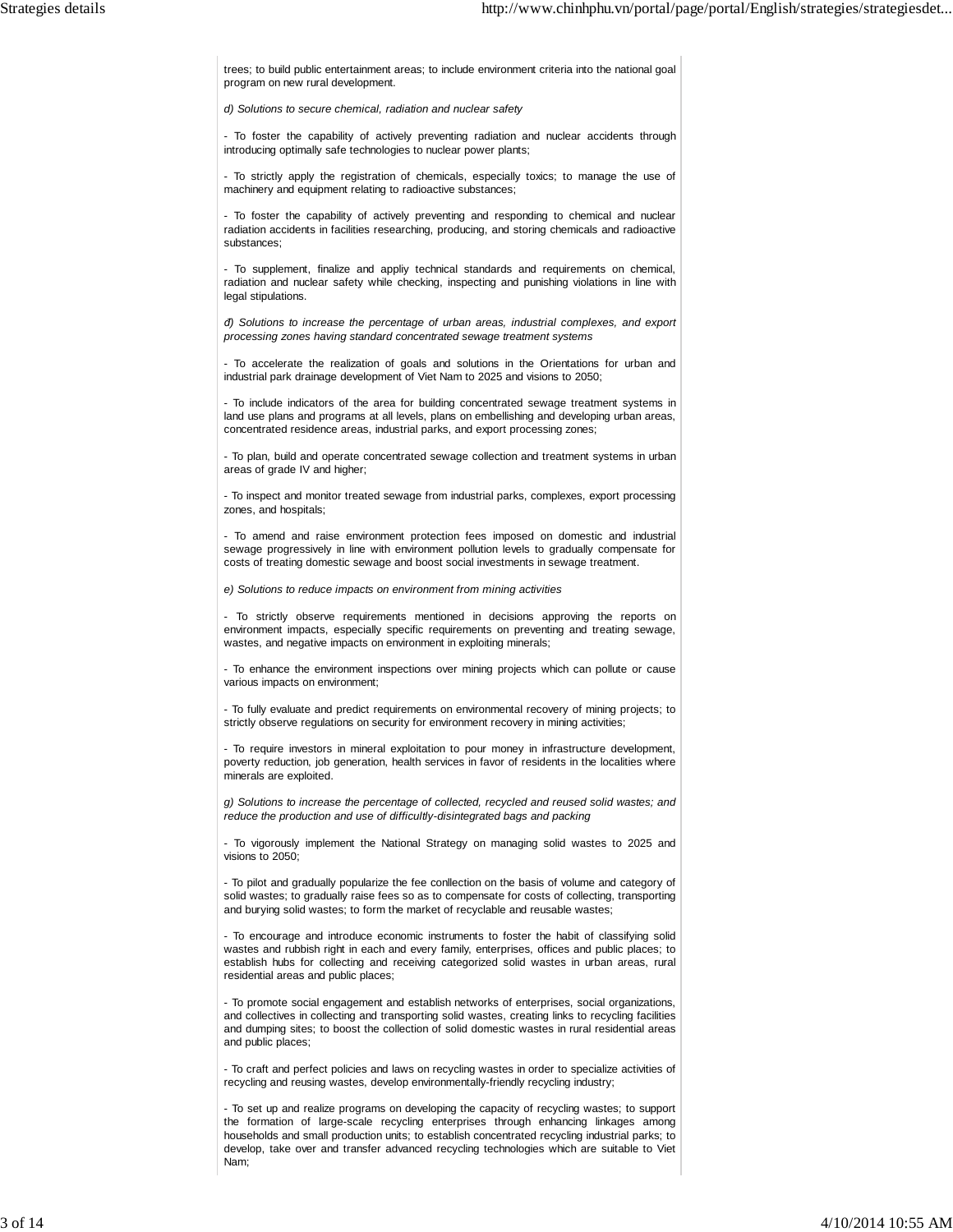trees; to build public entertainment areas; to include environment criteria into the national goal program on new rural development.

d) Solutions to secure chemical, radiation and nuclear safety

- To foster the capability of actively preventing radiation and nuclear accidents through introducing optimally safe technologies to nuclear power plants;

- To strictly apply the registration of chemicals, especially toxics; to manage the use of machinery and equipment relating to radioactive substances;

- To foster the capability of actively preventing and responding to chemical and nuclear radiation accidents in facilities researching, producing, and storing chemicals and radioactive substances;

- To supplement, finalize and appliy technical standards and requirements on chemical, radiation and nuclear safety while checking, inspecting and punishing violations in line with legal stipulations.

*đ*) Solutions to increase the percentage of urban areas, industrial complexes, and export processing zones having standard concentrated sewage treatment systems

- To accelerate the realization of goals and solutions in the Orientations for urban and industrial park drainage development of Viet Nam to 2025 and visions to 2050;

- To include indicators of the area for building concentrated sewage treatment systems in land use plans and programs at all levels, plans on embellishing and developing urban areas, concentrated residence areas, industrial parks, and export processing zones;

- To plan, build and operate concentrated sewage collection and treatment systems in urban areas of grade IV and higher;

- To inspect and monitor treated sewage from industrial parks, complexes, export processing zones, and hospitals;

- To amend and raise environment protection fees imposed on domestic and industrial sewage progressively in line with environment pollution levels to gradually compensate for costs of treating domestic sewage and boost social investments in sewage treatment.

e) Solutions to reduce impacts on environment from mining activities

- To strictly observe requirements mentioned in decisions approving the reports on environment impacts, especially specific requirements on preventing and treating sewage, wastes, and negative impacts on environment in exploiting minerals;

- To enhance the environment inspections over mining projects which can pollute or cause various impacts on environment;

- To fully evaluate and predict requirements on environmental recovery of mining projects; to strictly observe regulations on security for environment recovery in mining activities;

- To require investors in mineral exploitation to pour money in infrastructure development, poverty reduction, job generation, health services in favor of residents in the localities where minerals are exploited.

g) Solutions to increase the percentage of collected, recycled and reused solid wastes; and reduce the production and use of difficultly-disintegrated bags and packing

- To vigorously implement the National Strategy on managing solid wastes to 2025 and visions to 2050;

- To pilot and gradually popularize the fee conllection on the basis of volume and category of solid wastes; to gradually raise fees so as to compensate for costs of collecting, transporting and burying solid wastes; to form the market of recyclable and reusable wastes;

- To encourage and introduce economic instruments to foster the habit of classifying solid wastes and rubbish right in each and every family, enterprises, offices and public places; to establish hubs for collecting and receiving categorized solid wastes in urban areas, rural residential areas and public places;

- To promote social engagement and establish networks of enterprises, social organizations, and collectives in collecting and transporting solid wastes, creating links to recycling facilities and dumping sites; to boost the collection of solid domestic wastes in rural residential areas and public places;

- To craft and perfect policies and laws on recycling wastes in order to specialize activities of recycling and reusing wastes, develop environmentally-friendly recycling industry;

- To set up and realize programs on developing the capacity of recycling wastes; to support the formation of large-scale recycling enterprises through enhancing linkages among households and small production units; to establish concentrated recycling industrial parks; to develop, take over and transfer advanced recycling technologies which are suitable to Viet Nam;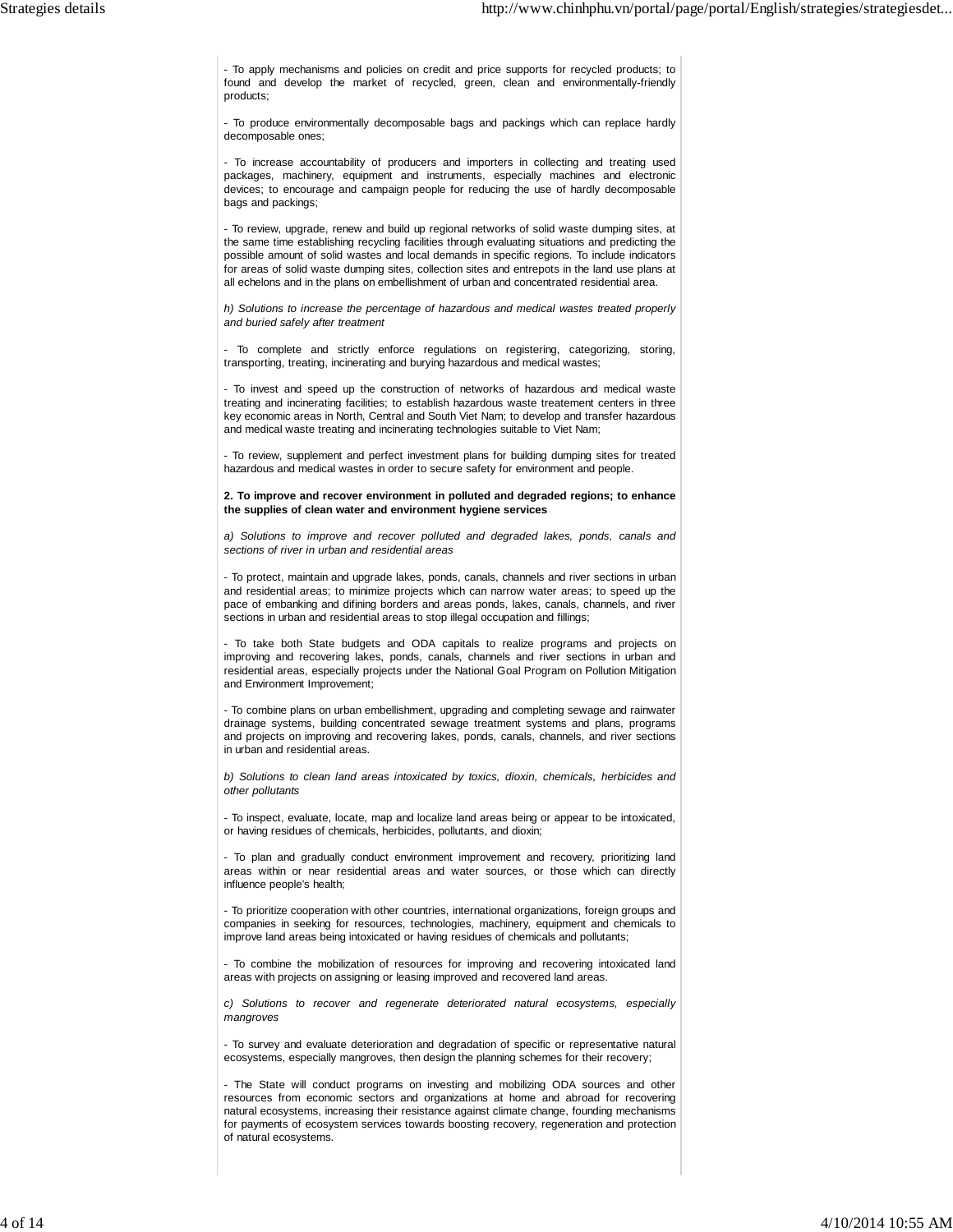- To apply mechanisms and policies on credit and price supports for recycled products; to found and develop the market of recycled, green, clean and environmentally-friendly products;

- To produce environmentally decomposable bags and packings which can replace hardly decomposable ones;

- To increase accountability of producers and importers in collecting and treating used packages, machinery, equipment and instruments, especially machines and electronic devices; to encourage and campaign people for reducing the use of hardly decomposable bags and packings;

- To review, upgrade, renew and build up regional networks of solid waste dumping sites, at the same time establishing recycling facilities through evaluating situations and predicting the possible amount of solid wastes and local demands in specific regions. To include indicators for areas of solid waste dumping sites, collection sites and entrepots in the land use plans at all echelons and in the plans on embellishment of urban and concentrated residential area.

h) Solutions to increase the percentage of hazardous and medical wastes treated properly and buried safely after treatment

- To complete and strictly enforce regulations on registering, categorizing, storing, transporting, treating, incinerating and burying hazardous and medical wastes;

- To invest and speed up the construction of networks of hazardous and medical waste treating and incinerating facilities; to establish hazardous waste treatement centers in three key economic areas in North, Central and South Viet Nam; to develop and transfer hazardous and medical waste treating and incinerating technologies suitable to Viet Nam;

- To review, supplement and perfect investment plans for building dumping sites for treated hazardous and medical wastes in order to secure safety for environment and people.

**2. To improve and recover environment in polluted and degraded regions; to enhance the supplies of clean water and environment hygiene services**

a) Solutions to improve and recover polluted and degraded lakes, ponds, canals and sections of river in urban and residential areas

- To protect, maintain and upgrade lakes, ponds, canals, channels and river sections in urban and residential areas; to minimize projects which can narrow water areas; to speed up the pace of embanking and difining borders and areas ponds, lakes, canals, channels, and river sections in urban and residential areas to stop illegal occupation and fillings;

- To take both State budgets and ODA capitals to realize programs and projects on improving and recovering lakes, ponds, canals, channels and river sections in urban and residential areas, especially projects under the National Goal Program on Pollution Mitigation and Environment Improvement;

- To combine plans on urban embellishment, upgrading and completing sewage and rainwater drainage systems, building concentrated sewage treatment systems and plans, programs and projects on improving and recovering lakes, ponds, canals, channels, and river sections in urban and residential areas.

b) Solutions to clean land areas intoxicated by toxics, dioxin, chemicals, herbicides and other pollutants

- To inspect, evaluate, locate, map and localize land areas being or appear to be intoxicated, or having residues of chemicals, herbicides, pollutants, and dioxin;

- To plan and gradually conduct environment improvement and recovery, prioritizing land areas within or near residential areas and water sources, or those which can directly influence people's health;

- To prioritize cooperation with other countries, international organizations, foreign groups and companies in seeking for resources, technologies, machinery, equipment and chemicals to improve land areas being intoxicated or having residues of chemicals and pollutants;

- To combine the mobilization of resources for improving and recovering intoxicated land areas with projects on assigning or leasing improved and recovered land areas.

c) Solutions to recover and regenerate deteriorated natural ecosystems, especially mangroves

- To survey and evaluate deterioration and degradation of specific or representative natural ecosystems, especially mangroves, then design the planning schemes for their recovery;

- The State will conduct programs on investing and mobilizing ODA sources and other resources from economic sectors and organizations at home and abroad for recovering natural ecosystems, increasing their resistance against climate change, founding mechanisms for payments of ecosystem services towards boosting recovery, regeneration and protection of natural ecosystems.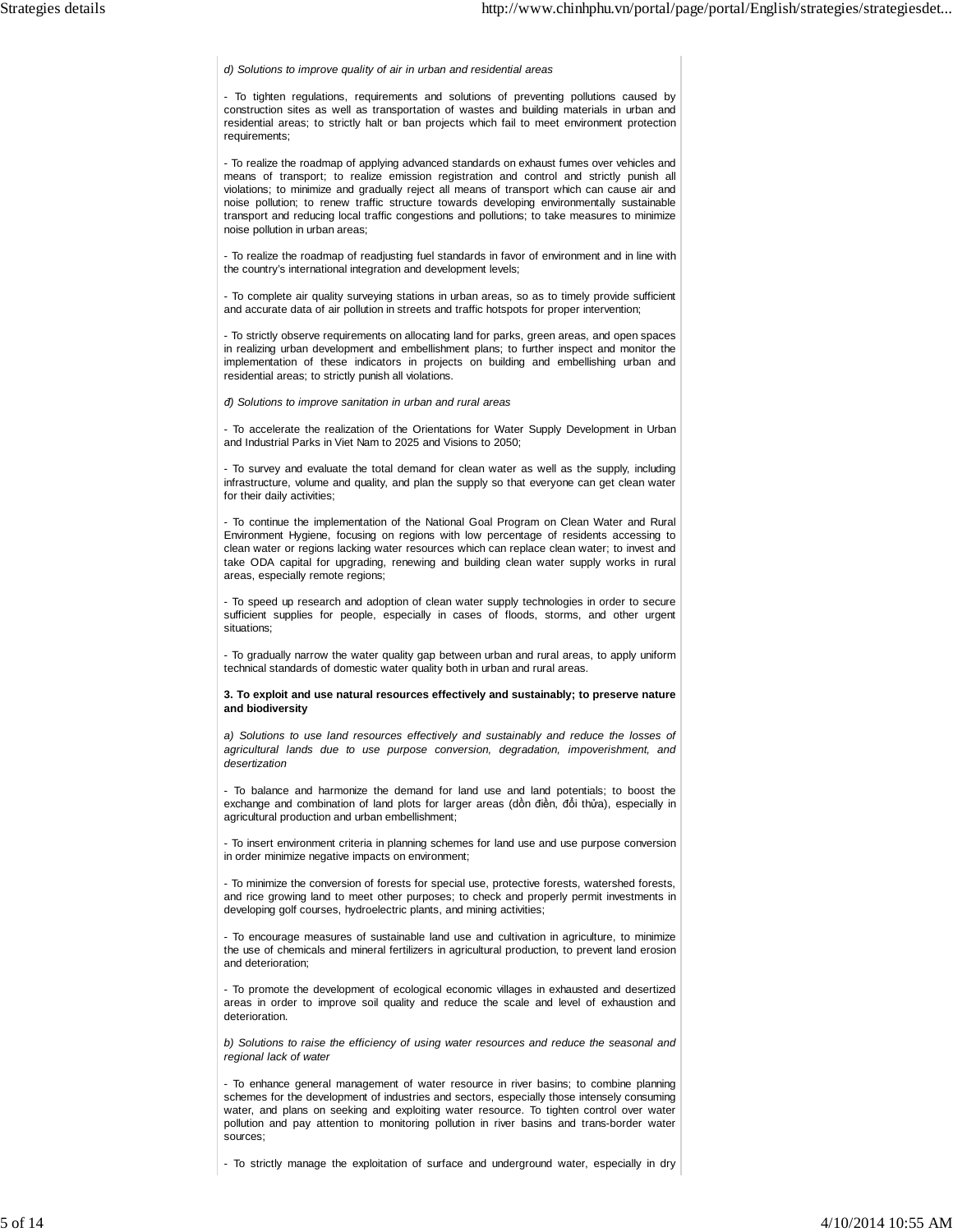d) Solutions to improve quality of air in urban and residential areas

- To tighten regulations, requirements and solutions of preventing pollutions caused by construction sites as well as transportation of wastes and building materials in urban and residential areas; to strictly halt or ban projects which fail to meet environment protection requirements;

- To realize the roadmap of applying advanced standards on exhaust fumes over vehicles and means of transport; to realize emission registration and control and strictly punish all violations; to minimize and gradually reject all means of transport which can cause air and noise pollution; to renew traffic structure towards developing environmentally sustainable transport and reducing local traffic congestions and pollutions; to take measures to minimize noise pollution in urban areas;

- To realize the roadmap of readjusting fuel standards in favor of environment and in line with the country's international integration and development levels;

- To complete air quality surveying stations in urban areas, so as to timely provide sufficient and accurate data of air pollution in streets and traffic hotspots for proper intervention;

- To strictly observe requirements on allocating land for parks, green areas, and open spaces in realizing urban development and embellishment plans; to further inspect and monitor the implementation of these indicators in projects on building and embellishing urban and residential areas; to strictly punish all violations.

*đ*) Solutions to improve sanitation in urban and rural areas

- To accelerate the realization of the Orientations for Water Supply Development in Urban and Industrial Parks in Viet Nam to 2025 and Visions to 2050;

- To survey and evaluate the total demand for clean water as well as the supply, including infrastructure, volume and quality, and plan the supply so that everyone can get clean water for their daily activities;

- To continue the implementation of the National Goal Program on Clean Water and Rural Environment Hygiene, focusing on regions with low percentage of residents accessing to clean water or regions lacking water resources which can replace clean water; to invest and take ODA capital for upgrading, renewing and building clean water supply works in rural areas, especially remote regions;

- To speed up research and adoption of clean water supply technologies in order to secure sufficient supplies for people, especially in cases of floods, storms, and other urgent situations;

- To gradually narrow the water quality gap between urban and rural areas, to apply uniform technical standards of domestic water quality both in urban and rural areas.

**3. To exploit and use natural resources effectively and sustainably; to preserve nature and biodiversity**

a) Solutions to use land resources effectively and sustainably and reduce the losses of agricultural lands due to use purpose conversion, degradation, impoverishment, and desertization

- To balance and harmonize the demand for land use and land potentials; to boost the exchange and combination of land plots for larger areas (dồn điền, đổi thửa), especially in agricultural production and urban embellishment;

- To insert environment criteria in planning schemes for land use and use purpose conversion in order minimize negative impacts on environment;

- To minimize the conversion of forests for special use, protective forests, watershed forests, and rice growing land to meet other purposes; to check and properly permit investments in developing golf courses, hydroelectric plants, and mining activities;

- To encourage measures of sustainable land use and cultivation in agriculture, to minimize the use of chemicals and mineral fertilizers in agricultural production, to prevent land erosion and deterioration;

- To promote the development of ecological economic villages in exhausted and desertized areas in order to improve soil quality and reduce the scale and level of exhaustion and deterioration.

b) Solutions to raise the efficiency of using water resources and reduce the seasonal and regional lack of water

- To enhance general management of water resource in river basins; to combine planning schemes for the development of industries and sectors, especially those intensely consuming water, and plans on seeking and exploiting water resource. To tighten control over water pollution and pay attention to monitoring pollution in river basins and trans-border water sources;

- To strictly manage the exploitation of surface and underground water, especially in dry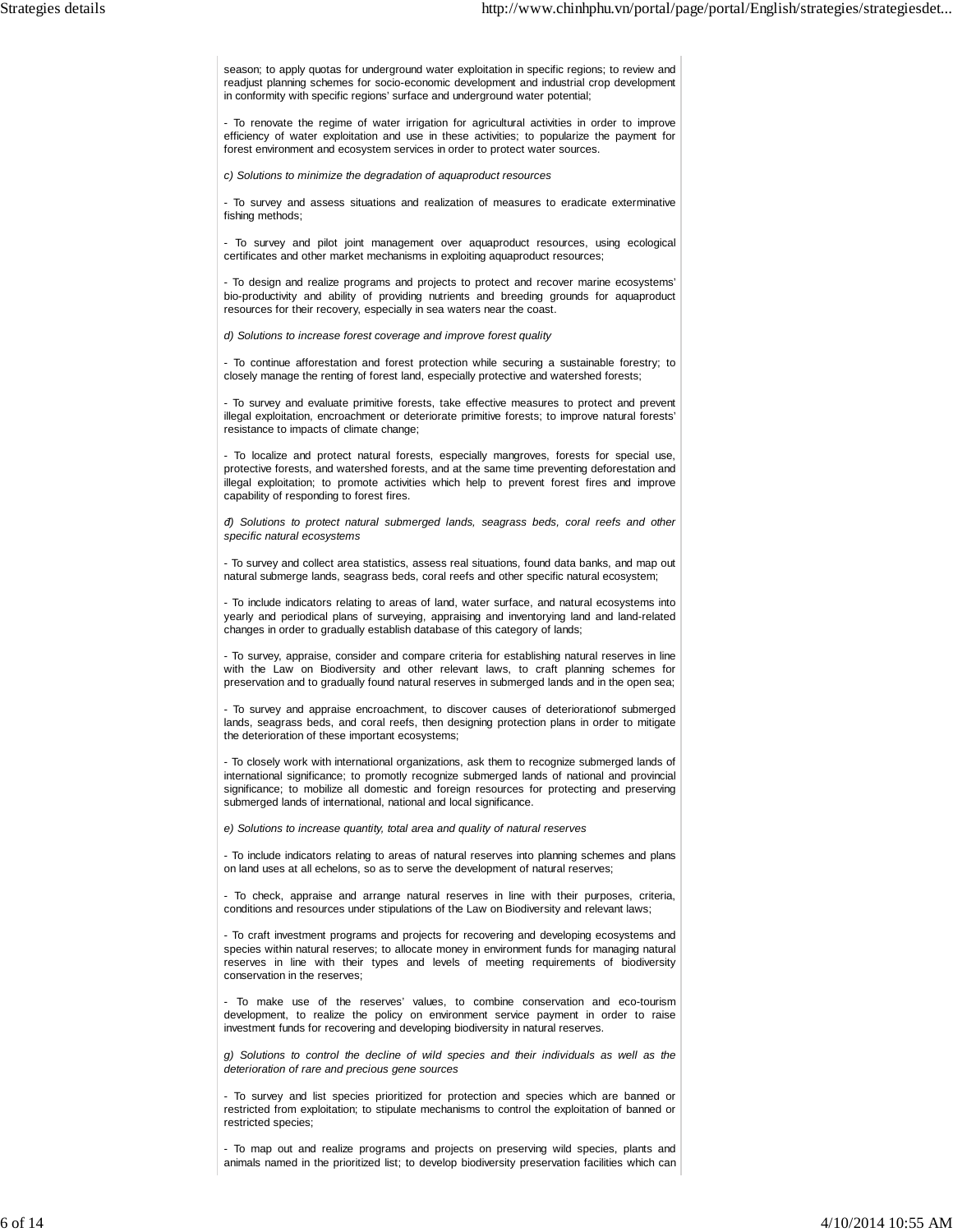season; to apply quotas for underground water exploitation in specific regions; to review and readjust planning schemes for socio-economic development and industrial crop development in conformity with specific regions' surface and underground water potential;

- To renovate the regime of water irrigation for agricultural activities in order to improve efficiency of water exploitation and use in these activities; to popularize the payment for forest environment and ecosystem services in order to protect water sources.

c) Solutions to minimize the degradation of aquaproduct resources

- To survey and assess situations and realization of measures to eradicate exterminative fishing methods;

- To survey and pilot joint management over aquaproduct resources, using ecological certificates and other market mechanisms in exploiting aquaproduct resources;

- To design and realize programs and projects to protect and recover marine ecosystems' bio-productivity and ability of providing nutrients and breeding grounds for aquaproduct resources for their recovery, especially in sea waters near the coast.

d) Solutions to increase forest coverage and improve forest quality

- To continue afforestation and forest protection while securing a sustainable forestry; to closely manage the renting of forest land, especially protective and watershed forests;

- To survey and evaluate primitive forests, take effective measures to protect and prevent illegal exploitation, encroachment or deteriorate primitive forests; to improve natural forests' resistance to impacts of climate change;

- To localize and protect natural forests, especially mangroves, forests for special use, protective forests, and watershed forests, and at the same time preventing deforestation and illegal exploitation; to promote activities which help to prevent forest fires and improve capability of responding to forest fires.

*đ*) Solutions to protect natural submerged lands, seagrass beds, coral reefs and other specific natural ecosystems

- To survey and collect area statistics, assess real situations, found data banks, and map out natural submerge lands, seagrass beds, coral reefs and other specific natural ecosystem;

- To include indicators relating to areas of land, water surface, and natural ecosystems into yearly and periodical plans of surveying, appraising and inventorying land and land-related changes in order to gradually establish database of this category of lands;

- To survey, appraise, consider and compare criteria for establishing natural reserves in line with the Law on Biodiversity and other relevant laws, to craft planning schemes for preservation and to gradually found natural reserves in submerged lands and in the open sea;

- To survey and appraise encroachment, to discover causes of deteriorationof submerged lands, seagrass beds, and coral reefs, then designing protection plans in order to mitigate the deterioration of these important ecosystems;

- To closely work with international organizations, ask them to recognize submerged lands of international significance; to promotly recognize submerged lands of national and provincial significance; to mobilize all domestic and foreign resources for protecting and preserving submerged lands of international, national and local significance.

e) Solutions to increase quantity, total area and quality of natural reserves

- To include indicators relating to areas of natural reserves into planning schemes and plans on land uses at all echelons, so as to serve the development of natural reserves;

- To check, appraise and arrange natural reserves in line with their purposes, criteria, conditions and resources under stipulations of the Law on Biodiversity and relevant laws;

- To craft investment programs and projects for recovering and developing ecosystems and species within natural reserves; to allocate money in environment funds for managing natural reserves in line with their types and levels of meeting requirements of biodiversity conservation in the reserves;

To make use of the reserves' values, to combine conservation and eco-tourism development, to realize the policy on environment service payment in order to raise investment funds for recovering and developing biodiversity in natural reserves.

g) Solutions to control the decline of wild species and their individuals as well as the deterioration of rare and precious gene sources

- To survey and list species prioritized for protection and species which are banned or restricted from exploitation; to stipulate mechanisms to control the exploitation of banned or restricted species;

- To map out and realize programs and projects on preserving wild species, plants and animals named in the prioritized list; to develop biodiversity preservation facilities which can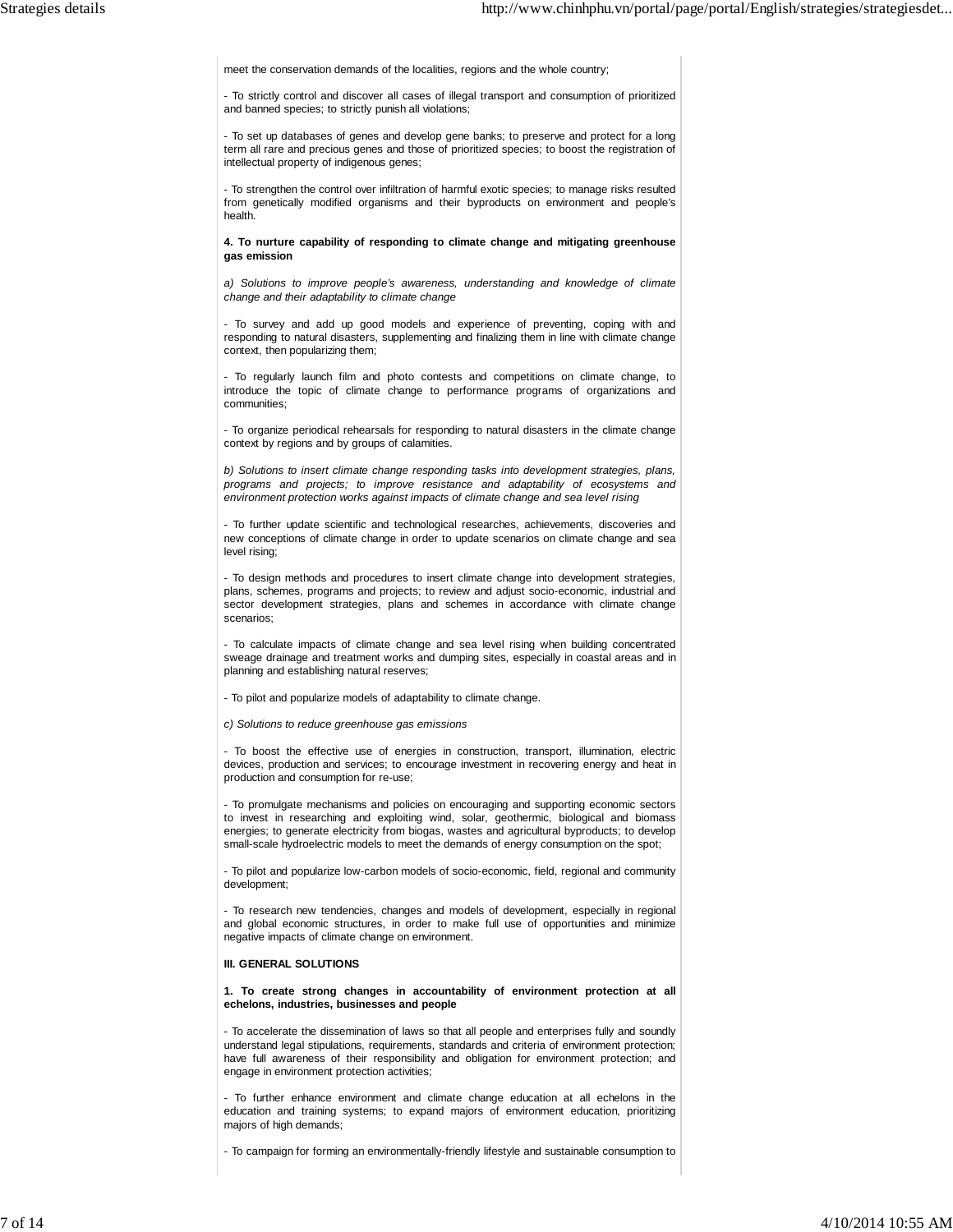meet the conservation demands of the localities, regions and the whole country;

- To strictly control and discover all cases of illegal transport and consumption of prioritized and banned species; to strictly punish all violations;

- To set up databases of genes and develop gene banks; to preserve and protect for a long term all rare and precious genes and those of prioritized species; to boost the registration of intellectual property of indigenous genes;

- To strengthen the control over infiltration of harmful exotic species; to manage risks resulted from genetically modified organisms and their byproducts on environment and people's health.

**4. To nurture capability of responding to climate change and mitigating greenhouse gas emission**

a) Solutions to improve people's awareness, understanding and knowledge of climate change and their adaptability to climate change

- To survey and add up good models and experience of preventing, coping with and responding to natural disasters, supplementing and finalizing them in line with climate change context, then popularizing them;

To regularly launch film and photo contests and competitions on climate change, to introduce the topic of climate change to performance programs of organizations and communities;

- To organize periodical rehearsals for responding to natural disasters in the climate change context by regions and by groups of calamities.

b) Solutions to insert climate change responding tasks into development strategies, plans, programs and projects; to improve resistance and adaptability of ecosystems and environment protection works against impacts of climate change and sea level rising

- To further update scientific and technological researches, achievements, discoveries and new conceptions of climate change in order to update scenarios on climate change and sea level rising;

- To design methods and procedures to insert climate change into development strategies, plans, schemes, programs and projects; to review and adjust socio-economic, industrial and sector development strategies, plans and schemes in accordance with climate change scenarios;

- To calculate impacts of climate change and sea level rising when building concentrated sweage drainage and treatment works and dumping sites, especially in coastal areas and in planning and establishing natural reserves;

- To pilot and popularize models of adaptability to climate change.

c) Solutions to reduce greenhouse gas emissions

- To boost the effective use of energies in construction, transport, illumination, electric devices, production and services; to encourage investment in recovering energy and heat in production and consumption for re-use;

- To promulgate mechanisms and policies on encouraging and supporting economic sectors to invest in researching and exploiting wind, solar, geothermic, biological and biomass energies; to generate electricity from biogas, wastes and agricultural byproducts; to develop small-scale hydroelectric models to meet the demands of energy consumption on the spot;

- To pilot and popularize low-carbon models of socio-economic, field, regional and community development;

- To research new tendencies, changes and models of development, especially in regional and global economic structures, in order to make full use of opportunities and minimize negative impacts of climate change on environment.

#### **III. GENERAL SOLUTIONS**

**1. To create strong changes in accountability of environment protection at all echelons, industries, businesses and people**

- To accelerate the dissemination of laws so that all people and enterprises fully and soundly understand legal stipulations, requirements, standards and criteria of environment protection; have full awareness of their responsibility and obligation for environment protection; and engage in environment protection activities;

- To further enhance environment and climate change education at all echelons in the education and training systems; to expand majors of environment education, prioritizing majors of high demands;

- To campaign for forming an environmentally-friendly lifestyle and sustainable consumption to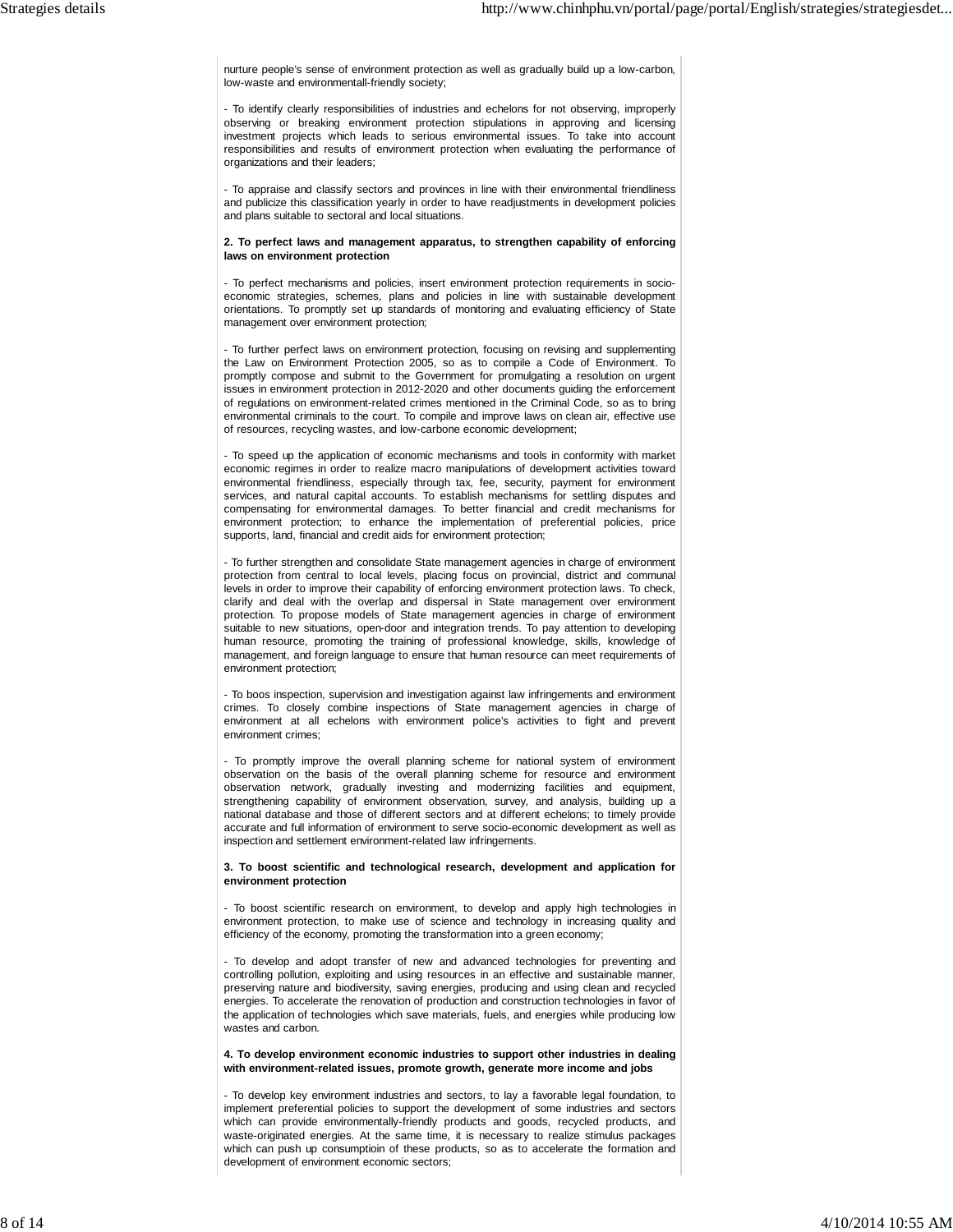nurture people's sense of environment protection as well as gradually build up a low-carbon, low-waste and environmentall-friendly society;

- To identify clearly responsibilities of industries and echelons for not observing, improperly observing or breaking environment protection stipulations in approving and licensing investment projects which leads to serious environmental issues. To take into account responsibilities and results of environment protection when evaluating the performance of organizations and their leaders;

- To appraise and classify sectors and provinces in line with their environmental friendliness and publicize this classification yearly in order to have readjustments in development policies and plans suitable to sectoral and local situations.

### **2. To perfect laws and management apparatus, to strengthen capability of enforcing laws on environment protection**

- To perfect mechanisms and policies, insert environment protection requirements in socioeconomic strategies, schemes, plans and policies in line with sustainable development orientations. To promptly set up standards of monitoring and evaluating efficiency of State management over environment protection;

- To further perfect laws on environment protection, focusing on revising and supplementing the Law on Environment Protection 2005, so as to compile a Code of Environment. To promptly compose and submit to the Government for promulgating a resolution on urgent issues in environment protection in 2012-2020 and other documents guiding the enforcement of regulations on environment-related crimes mentioned in the Criminal Code, so as to bring environmental criminals to the court. To compile and improve laws on clean air, effective use of resources, recycling wastes, and low-carbone economic development;

- To speed up the application of economic mechanisms and tools in conformity with market economic regimes in order to realize macro manipulations of development activities toward environmental friendliness, especially through tax, fee, security, payment for environment services, and natural capital accounts. To establish mechanisms for settling disputes and compensating for environmental damages. To better financial and credit mechanisms for environment protection; to enhance the implementation of preferential policies, price supports, land, financial and credit aids for environment protection;

- To further strengthen and consolidate State management agencies in charge of environment protection from central to local levels, placing focus on provincial, district and communal levels in order to improve their capability of enforcing environment protection laws. To check, clarify and deal with the overlap and dispersal in State management over environment protection. To propose models of State management agencies in charge of environment suitable to new situations, open-door and integration trends. To pay attention to developing human resource, promoting the training of professional knowledge, skills, knowledge of management, and foreign language to ensure that human resource can meet requirements of environment protection;

- To boos inspection, supervision and investigation against law infringements and environment crimes. To closely combine inspections of State management agencies in charge of environment at all echelons with environment police's activities to fight and prevent environment crimes;

- To promptly improve the overall planning scheme for national system of environment observation on the basis of the overall planning scheme for resource and environment observation network, gradually investing and modernizing facilities and equipment, strengthening capability of environment observation, survey, and analysis, building up a national database and those of different sectors and at different echelons; to timely provide accurate and full information of environment to serve socio-economic development as well as inspection and settlement environment-related law infringements.

#### **3. To boost scientific and technological research, development and application for environment protection**

- To boost scientific research on environment, to develop and apply high technologies in environment protection, to make use of science and technology in increasing quality and efficiency of the economy, promoting the transformation into a green economy;

- To develop and adopt transfer of new and advanced technologies for preventing and controlling pollution, exploiting and using resources in an effective and sustainable manner, preserving nature and biodiversity, saving energies, producing and using clean and recycled energies. To accelerate the renovation of production and construction technologies in favor of the application of technologies which save materials, fuels, and energies while producing low wastes and carbon.

**4. To develop environment economic industries to support other industries in dealing with environment-related issues, promote growth, generate more income and jobs**

- To develop key environment industries and sectors, to lay a favorable legal foundation, to implement preferential policies to support the development of some industries and sectors which can provide environmentally-friendly products and goods, recycled products, and waste-originated energies. At the same time, it is necessary to realize stimulus packages which can push up consumptioin of these products, so as to accelerate the formation and development of environment economic sectors;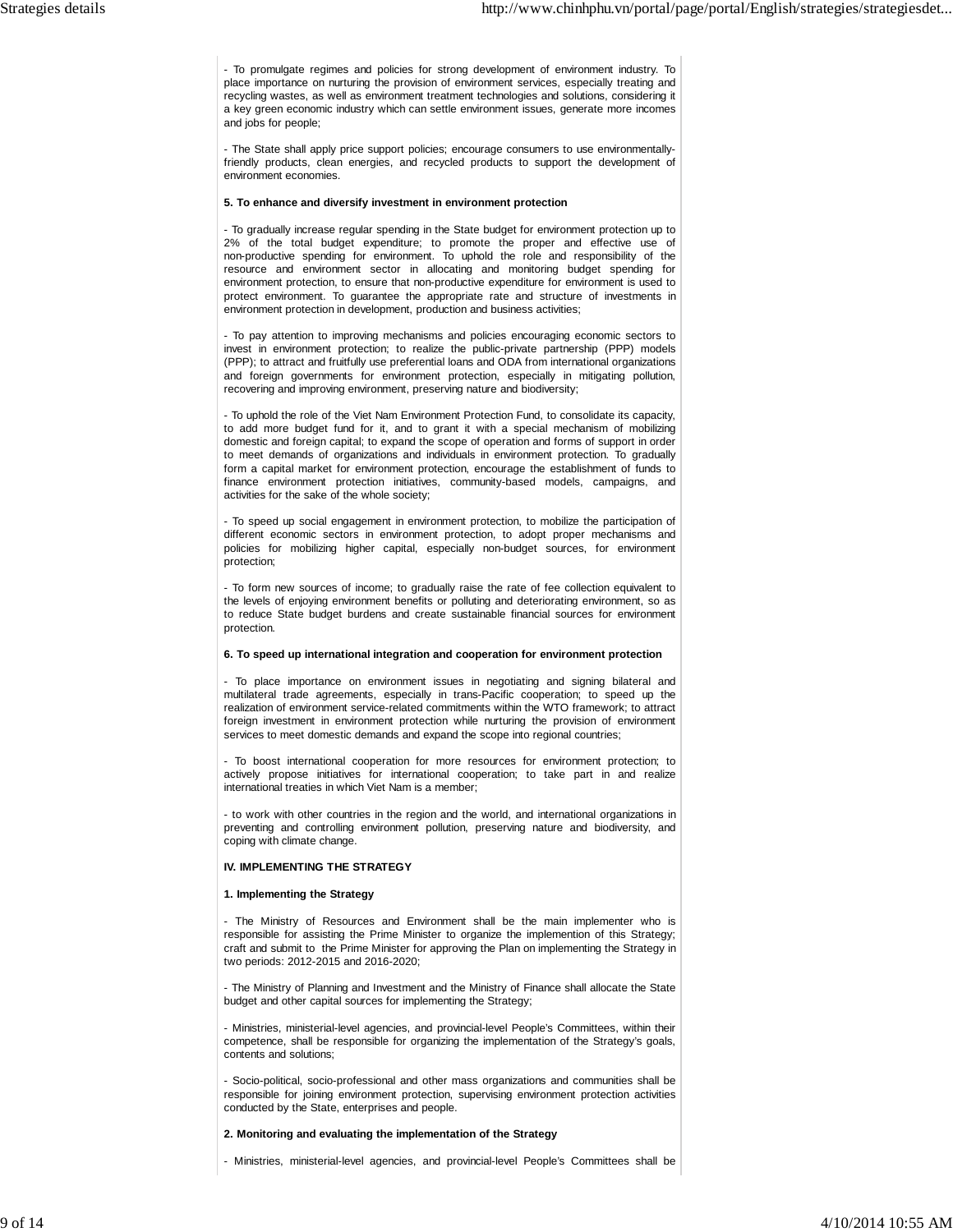- To promulgate regimes and policies for strong development of environment industry. To place importance on nurturing the provision of environment services, especially treating and recycling wastes, as well as environment treatment technologies and solutions, considering it a key green economic industry which can settle environment issues, generate more incomes and jobs for people;

- The State shall apply price support policies; encourage consumers to use environmentallyfriendly products, clean energies, and recycled products to support the development of environment economies.

#### **5. To enhance and diversify investment in environment protection**

- To gradually increase regular spending in the State budget for environment protection up to 2% of the total budget expenditure; to promote the proper and effective use of non-productive spending for environment. To uphold the role and responsibility of the resource and environment sector in allocating and monitoring budget spending for environment protection, to ensure that non-productive expenditure for environment is used to protect environment. To guarantee the appropriate rate and structure of investments in environment protection in development, production and business activities;

- To pay attention to improving mechanisms and policies encouraging economic sectors to invest in environment protection; to realize the public-private partnership (PPP) models (PPP); to attract and fruitfully use preferential loans and ODA from international organizations and foreign governments for environment protection, especially in mitigating pollution, recovering and improving environment, preserving nature and biodiversity;

- To uphold the role of the Viet Nam Environment Protection Fund, to consolidate its capacity, to add more budget fund for it, and to grant it with a special mechanism of mobilizing domestic and foreign capital; to expand the scope of operation and forms of support in order to meet demands of organizations and individuals in environment protection. To gradually form a capital market for environment protection, encourage the establishment of funds to finance environment protection initiatives, community-based models, campaigns, and activities for the sake of the whole society;

- To speed up social engagement in environment protection, to mobilize the participation of different economic sectors in environment protection, to adopt proper mechanisms and policies for mobilizing higher capital, especially non-budget sources, for environment protection;

- To form new sources of income; to gradually raise the rate of fee collection equivalent to the levels of enjoying environment benefits or polluting and deteriorating environment, so as to reduce State budget burdens and create sustainable financial sources for environment protection.

#### **6. To speed up international integration and cooperation for environment protection**

- To place importance on environment issues in negotiating and signing bilateral and multilateral trade agreements, especially in trans-Pacific cooperation; to speed up the realization of environment service-related commitments within the WTO framework; to attract foreign investment in environment protection while nurturing the provision of environment services to meet domestic demands and expand the scope into regional countries;

- To boost international cooperation for more resources for environment protection; to actively propose initiatives for international cooperation; to take part in and realize international treaties in which Viet Nam is a member;

- to work with other countries in the region and the world, and international organizations in preventing and controlling environment pollution, preserving nature and biodiversity, and coping with climate change.

### **IV. IMPLEMENTING THE STRATEGY**

## **1. Implementing the Strategy**

- The Ministry of Resources and Environment shall be the main implementer who is responsible for assisting the Prime Minister to organize the implemention of this Strategy; craft and submit to the Prime Minister for approving the Plan on implementing the Strategy in two periods: 2012-2015 and 2016-2020;

- The Ministry of Planning and Investment and the Ministry of Finance shall allocate the State budget and other capital sources for implementing the Strategy;

- Ministries, ministerial-level agencies, and provincial-level People's Committees, within their competence, shall be responsible for organizing the implementation of the Strategy's goals, contents and solutions;

- Socio-political, socio-professional and other mass organizations and communities shall be responsible for joining environment protection, supervising environment protection activities conducted by the State, enterprises and people.

#### **2. Monitoring and evaluating the implementation of the Strategy**

- Ministries, ministerial-level agencies, and provincial-level People's Committees shall be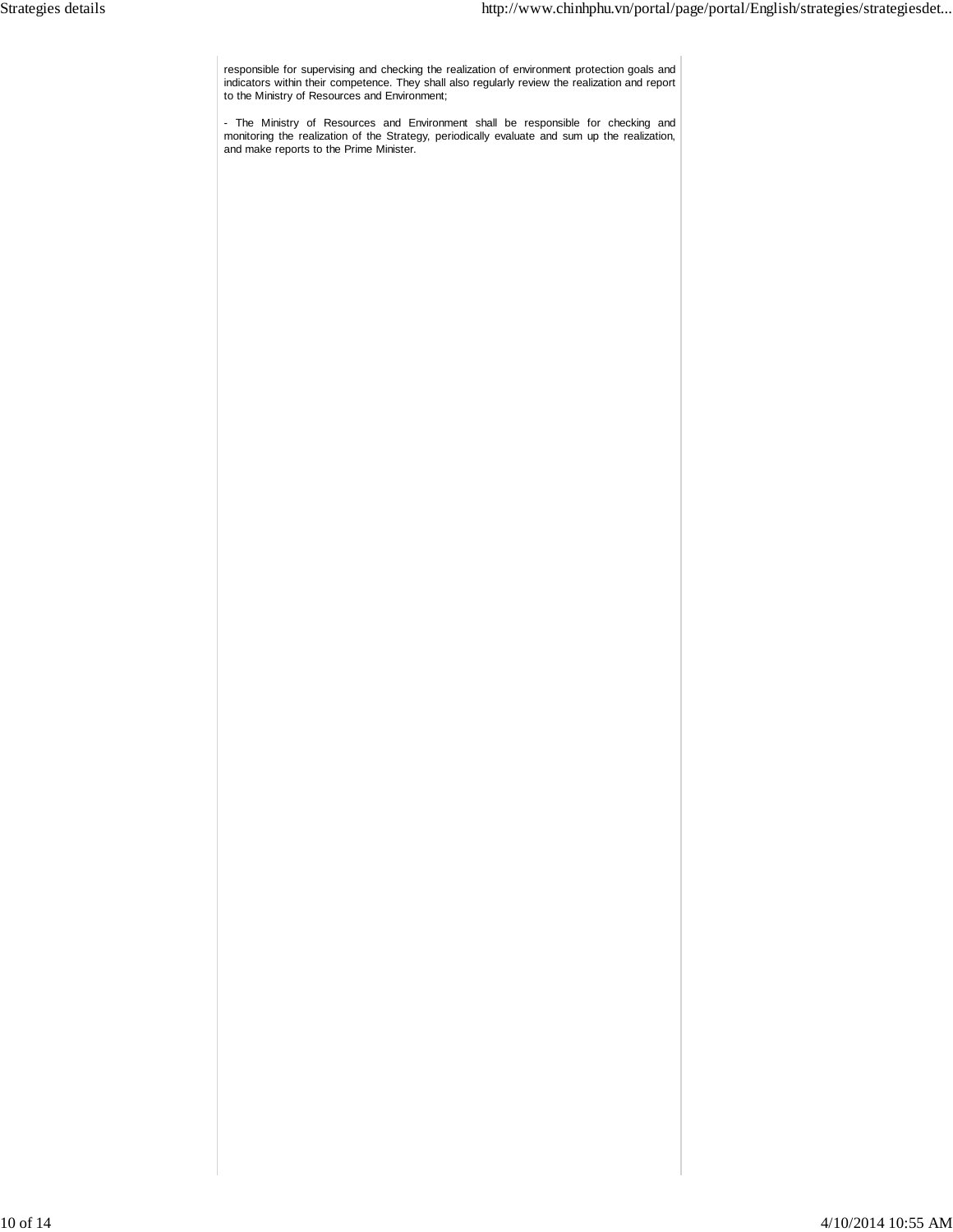responsible for supervising and checking the realization of environment protection goals and indicators within their competence. They shall also regularly review the realization and report to the Ministry of Resources and Environment;

- The Ministry of Resources and Environment shall be responsible for checking and monitoring the realization of the Strategy, periodically evaluate and sum up the realization, and make reports to the Prime Minister.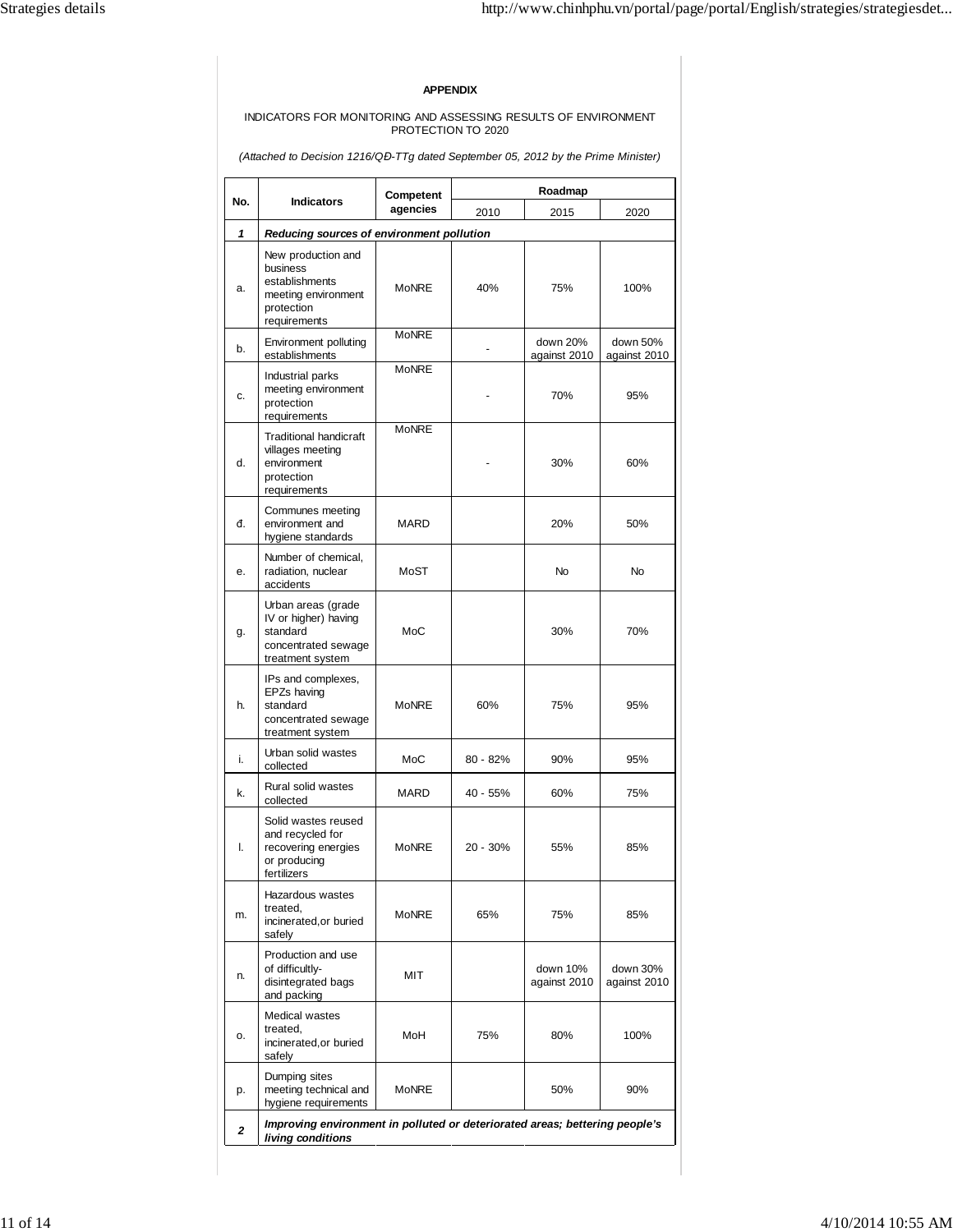# **APPENDIX**

### INDICATORS FOR MONITORING AND ASSESSING RESULTS OF ENVIRONMENT PROTECTION TO 2020

(Attached to Decision 1216/Q*Đ*-TTg dated September 05, 2012 by the Prime Minister)

| No.          | <b>Indicators</b>                                                                                     | Competent<br>agencies | Roadmap  |                          |                          |  |  |
|--------------|-------------------------------------------------------------------------------------------------------|-----------------------|----------|--------------------------|--------------------------|--|--|
|              |                                                                                                       |                       | 2010     | 2015                     | 2020                     |  |  |
| 1            | Reducing sources of environment pollution                                                             |                       |          |                          |                          |  |  |
| a.           | New production and<br>business<br>establishments<br>meeting environment<br>protection<br>requirements | MoNRF                 | 40%      | 75%                      | 100%                     |  |  |
| b.           | <b>Environment polluting</b><br>establishments                                                        | <b>MoNRE</b>          |          | down 20%<br>against 2010 | down 50%<br>against 2010 |  |  |
| c.           | Industrial parks<br>meeting environment<br>protection<br>requirements                                 | <b>MoNRE</b>          |          | 70%                      | 95%                      |  |  |
| d.           | <b>Traditional handicraft</b><br>villages meeting<br>environment<br>protection<br>requirements        | <b>MoNRE</b>          |          | 30%                      | 60%                      |  |  |
| đ.           | Communes meeting<br>environment and<br>hygiene standards                                              | MARD                  |          | 20%                      | 50%                      |  |  |
| е.           | Number of chemical,<br>radiation, nuclear<br>accidents                                                | MoST                  |          | <b>No</b>                | <b>No</b>                |  |  |
| g.           | Urban areas (grade<br>IV or higher) having<br>standard<br>concentrated sewage<br>treatment system     | MoC                   |          | 30%                      | 70%                      |  |  |
| h.           | IPs and complexes,<br>EPZs having<br>standard<br>concentrated sewage<br>treatment system              | MoNRE                 | 60%      | 75%                      | 95%                      |  |  |
| i.           | Urban solid wastes<br>collected                                                                       | MoC                   | 80 - 82% | 90%                      | 95%                      |  |  |
| k.           | Rural solid wastes<br>collected                                                                       | <b>MARD</b>           | 40 - 55% | 60%                      | 75%                      |  |  |
| I.           | Solid wastes reused<br>and recycled for<br>recovering energies<br>or producing<br><b>rertilizers</b>  | <b>MoNRE</b>          | 20 - 30% | 55%                      | 85%                      |  |  |
| m.           | Hazardous wastes<br>treated.<br>incinerated, or buried<br>safely                                      | <b>MoNRE</b>          | 65%      | 75%                      | 85%                      |  |  |
| n.           | Production and use<br>of difficultly-<br>disintegrated bags<br>and packing                            | MIT                   |          | down 10%<br>against 2010 | down 30%<br>against 2010 |  |  |
| о.           | Medical wastes<br>treated,<br>incinerated, or buried<br>safely                                        | MoH                   | 75%      | 80%                      | 100%                     |  |  |
| p.           | Dumping sites<br>meeting technical and<br>hygiene requirements                                        | MoNRE                 |          | 50%                      | 90%                      |  |  |
| $\mathbf{z}$ | Improving environment in polluted or deteriorated areas; bettering people's<br>living conditions      |                       |          |                          |                          |  |  |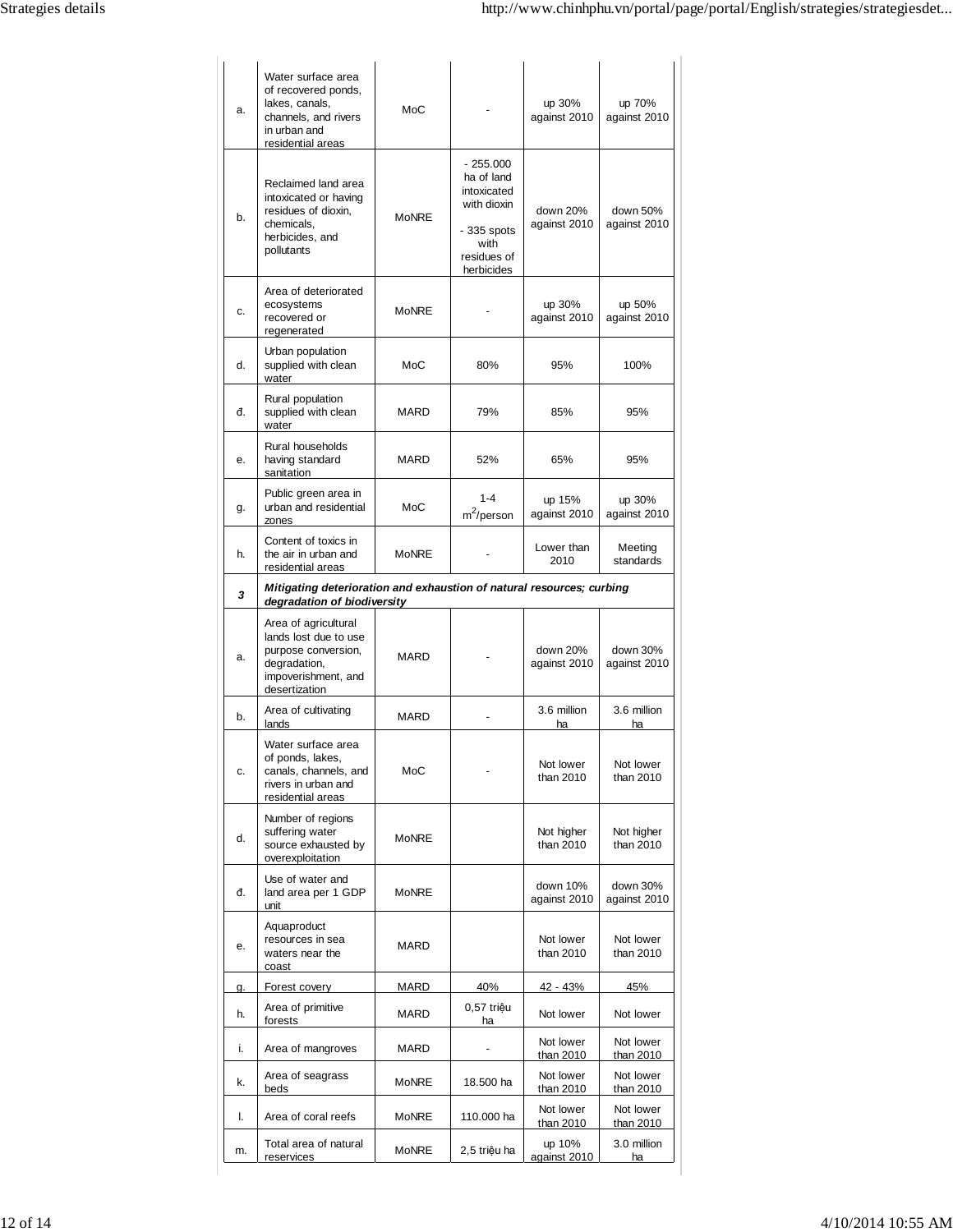| a.        | Water surface area<br>of recovered ponds,<br>lakes, canals,<br>channels, and rivers<br>in urban and<br>residential areas     | MoC          |                                                                                                             | up 30%<br>against 2010   | up 70%<br>against 2010   |  |
|-----------|------------------------------------------------------------------------------------------------------------------------------|--------------|-------------------------------------------------------------------------------------------------------------|--------------------------|--------------------------|--|
| b.        | Reclaimed land area<br>intoxicated or having<br>residues of dioxin,<br>chemicals.<br>herbicides, and<br>pollutants           | <b>MoNRE</b> | $-255.000$<br>ha of land<br>intoxicated<br>with dioxin<br>$-335$ spots<br>with<br>residues of<br>herbicides | down 20%<br>against 2010 | down 50%<br>against 2010 |  |
| c.        | Area of deteriorated<br>ecosystems<br>recovered or<br>regenerated                                                            | <b>MoNRE</b> |                                                                                                             | up 30%<br>against 2010   | up 50%<br>against 2010   |  |
| d.        | Urban population<br>supplied with clean<br>water                                                                             | MoC          | 80%                                                                                                         | 95%                      | 100%                     |  |
| đ.        | Rural population<br>supplied with clean<br>water                                                                             | MARD         | 79%                                                                                                         | 85%                      | 95%                      |  |
| е.        | Rural households<br>having standard<br>sanitation                                                                            | MARD         | 52%                                                                                                         | 65%                      | 95%                      |  |
| g.        | Public green area in<br>urban and residential<br>zones                                                                       | MoC          | $1 - 4$<br>$m^2$ /person                                                                                    | up 15%<br>against 2010   | up 30%<br>against 2010   |  |
| h.        | Content of toxics in<br>the air in urban and<br>residential areas                                                            | <b>MoNRE</b> |                                                                                                             | Lower than<br>2010       | Meeting<br>standards     |  |
| 3         | Mitigating deterioration and exhaustion of natural resources; curbing<br>degradation of biodiversity                         |              |                                                                                                             |                          |                          |  |
| a.        | Area of agricultural<br>lands lost due to use<br>purpose conversion,<br>degradation,<br>impoverishment, and<br>desertization | MARD         |                                                                                                             | down 20%<br>against 2010 | down 30%<br>against 2010 |  |
| b.        | Area of cultivating<br>lands                                                                                                 | MARD         |                                                                                                             | 3.6 million<br>ha        | 3.6 million<br>ha        |  |
| c.        | Water surface area<br>of ponds, lakes,<br>canals, channels, and<br>rivers in urban and<br>residential areas                  | MoC          |                                                                                                             | Not lower<br>than 2010   | Not lower<br>than 2010   |  |
| d.        | Number of regions<br>suffering water<br>source exhausted by<br>overexploitation                                              | <b>MoNRE</b> |                                                                                                             | Not higher<br>than 2010  | Not higher<br>than 2010  |  |
| đ.        | Use of water and<br>land area per 1 GDP<br>unit                                                                              | <b>MoNRE</b> |                                                                                                             | down 10%<br>against 2010 | down 30%<br>against 2010 |  |
| е.        | Aquaproduct<br>resources in sea<br>waters near the<br>coast                                                                  | MARD         |                                                                                                             | Not lower<br>than 2010   | Not lower<br>than 2010   |  |
| <b>g.</b> | Forest covery                                                                                                                | <b>MARD</b>  | 40%                                                                                                         | 42 - 43%                 | 45%                      |  |
| h.        | Area of primitive<br>forests                                                                                                 | MARD         | 0,57 triệu<br>ha                                                                                            | Not lower                | Not lower                |  |
| i.        | Area of mangroves                                                                                                            | MARD         |                                                                                                             | Not lower<br>than 2010   | Not lower<br>than 2010   |  |
| k.        | Area of seagrass<br>beds                                                                                                     | MoNRE        | 18.500 ha                                                                                                   | Not lower<br>than 2010   | Not lower<br>than 2010   |  |
| I.        | Area of coral reefs                                                                                                          | <b>MoNRE</b> | 110.000 ha                                                                                                  | Not lower<br>than 2010   | Not lower<br>than 2010   |  |
|           |                                                                                                                              |              |                                                                                                             |                          |                          |  |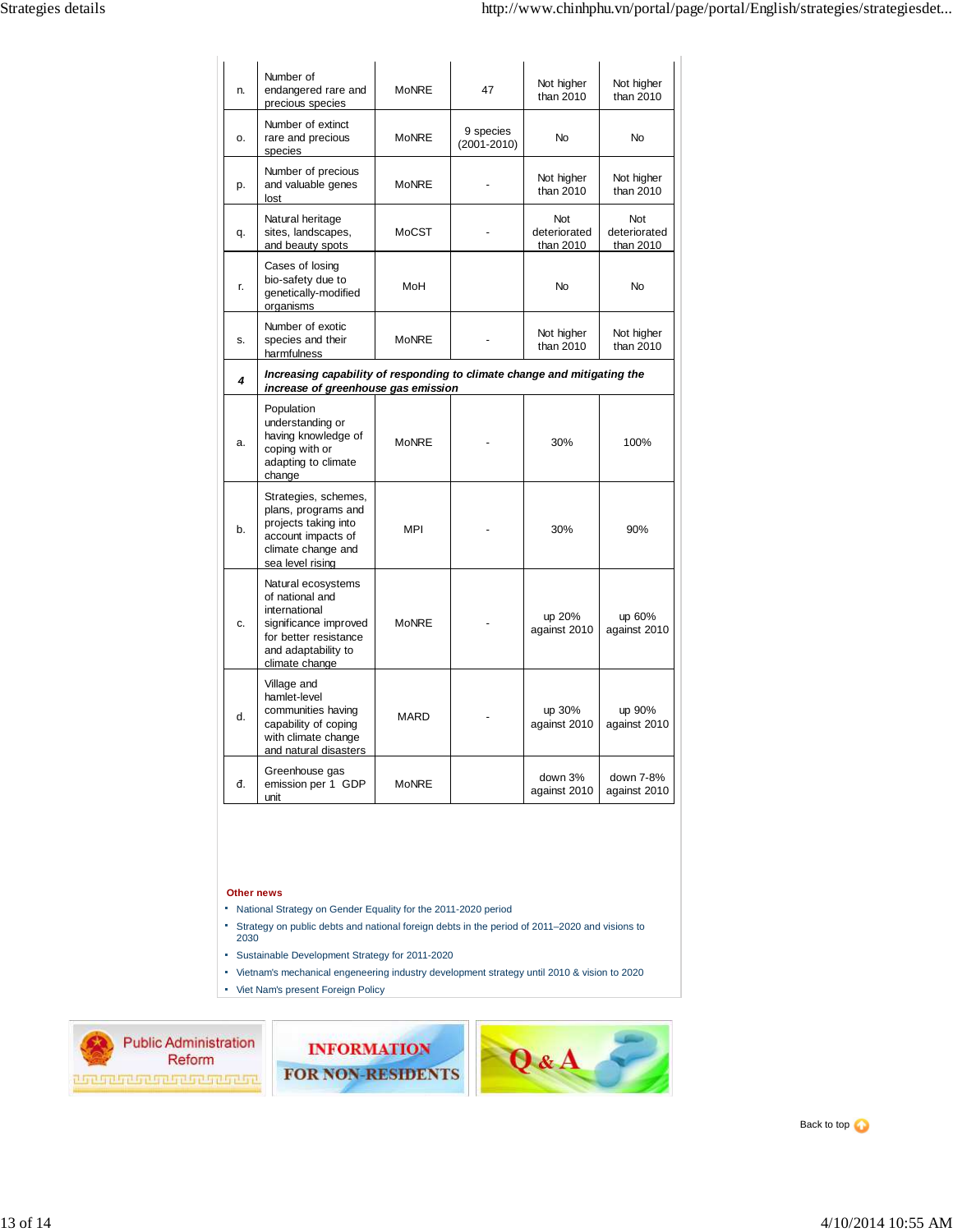| n. | Number of<br>endangered rare and<br>precious species                                                                                              | <b>MoNRE</b> | 47                           | Not higher<br>than 2010                 | Not higher<br>than 2010                 |  |
|----|---------------------------------------------------------------------------------------------------------------------------------------------------|--------------|------------------------------|-----------------------------------------|-----------------------------------------|--|
| o. | Number of extinct<br>rare and precious<br>species                                                                                                 | <b>MoNRE</b> | 9 species<br>$(2001 - 2010)$ | <b>No</b>                               | <b>No</b>                               |  |
| p. | Number of precious<br>and valuable genes<br>lost                                                                                                  | <b>MoNRE</b> |                              | Not higher<br>than 2010                 | Not higher<br>than 2010                 |  |
| q. | Natural heritage<br>sites, landscapes,<br>and beauty spots                                                                                        | MoCST        |                              | <b>Not</b><br>deteriorated<br>than 2010 | <b>Not</b><br>deteriorated<br>than 2010 |  |
| r. | Cases of losing<br>bio-safety due to<br>genetically-modified<br>organisms                                                                         | MoH          |                              | <b>No</b>                               | <b>No</b>                               |  |
| S. | Number of exotic<br>species and their<br>harmfulness                                                                                              | <b>MoNRE</b> |                              | Not higher<br>than 2010                 | Not higher<br>than 2010                 |  |
| 4  | Increasing capability of responding to climate change and mitigating the<br>increase of greenhouse gas emission                                   |              |                              |                                         |                                         |  |
| a. | Population<br>understanding or<br>having knowledge of<br>coping with or<br>adapting to climate<br>change                                          | <b>MoNRE</b> |                              | 30%                                     | 100%                                    |  |
| b. | Strategies, schemes,<br>plans, programs and<br>projects taking into<br>account impacts of<br>climate change and<br>sea level rising               | <b>MPI</b>   |                              | 30%                                     | 90%                                     |  |
| c. | Natural ecosystems<br>of national and<br>international<br>significance improved<br>for better resistance<br>and adaptability to<br>climate change | <b>MoNRE</b> |                              | up 20%<br>against 2010                  | up 60%<br>against 2010                  |  |
| d. | Village and<br>hamlet-level<br>communities having<br>capability of coping<br>with climate change<br>and natural disasters                         | <b>MARD</b>  |                              | up 30%<br>against 2010                  | up 90%<br>against 2010                  |  |
| đ. | Greenhouse gas<br>emission per 1 GDP<br>unit                                                                                                      | <b>MoNRE</b> |                              | down 3%<br>against 2010                 | down 7-8%<br>against 2010               |  |

## **Other news**

- National Strategy on Gender Equality for the 2011-2020 period
- Strategy on public debts and national foreign debts in the period of 2011–2020 and visions to 2030
- Sustainable Development Strategy for 2011-2020
- Vietnam's mechanical engeneering industry development strategy until 2010 & vision to 2020
- Viet Nam's present Foreign Policy



**INFORMATION FOR NON-RESIDENTS**